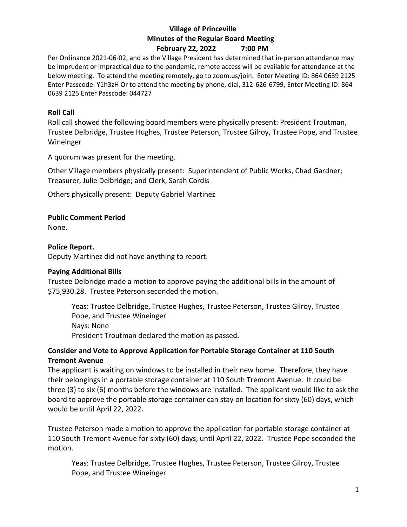## **Village of Princeville Minutes of the Regular Board Meeting February 22, 2022 7:00 PM**

Per Ordinance 2021-06-02, and as the Village President has determined that in-person attendance may be imprudent or impractical due to the pandemic, remote access will be available for attendance at the below meeting. To attend the meeting remotely, go to zoom.us/join. Enter Meeting ID: 864 0639 2125 Enter Passcode: Y1h3zH Or to attend the meeting by phone, dial, 312-626-6799, Enter Meeting ID: 864 0639 2125 Enter Passcode: 044727

### **Roll Call**

Roll call showed the following board members were physically present: President Troutman, Trustee Delbridge, Trustee Hughes, Trustee Peterson, Trustee Gilroy, Trustee Pope, and Trustee Wineinger

A quorum was present for the meeting.

Other Village members physically present: Superintendent of Public Works, Chad Gardner; Treasurer, Julie Delbridge; and Clerk, Sarah Cordis

Others physically present: Deputy Gabriel Martinez

### **Public Comment Period**

None.

### **Police Report.**

Deputy Martinez did not have anything to report.

#### **Paying Additional Bills**

Trustee Delbridge made a motion to approve paying the additional bills in the amount of \$75,930.28. Trustee Peterson seconded the motion.

Yeas: Trustee Delbridge, Trustee Hughes, Trustee Peterson, Trustee Gilroy, Trustee Pope, and Trustee Wineinger Nays: None President Troutman declared the motion as passed.

## **Consider and Vote to Approve Application for Portable Storage Container at 110 South Tremont Avenue**

The applicant is waiting on windows to be installed in their new home. Therefore, they have their belongings in a portable storage container at 110 South Tremont Avenue. It could be three (3) to six (6) months before the windows are installed. The applicant would like to ask the board to approve the portable storage container can stay on location for sixty (60) days, which would be until April 22, 2022.

Trustee Peterson made a motion to approve the application for portable storage container at 110 South Tremont Avenue for sixty (60) days, until April 22, 2022. Trustee Pope seconded the motion.

Yeas: Trustee Delbridge, Trustee Hughes, Trustee Peterson, Trustee Gilroy, Trustee Pope, and Trustee Wineinger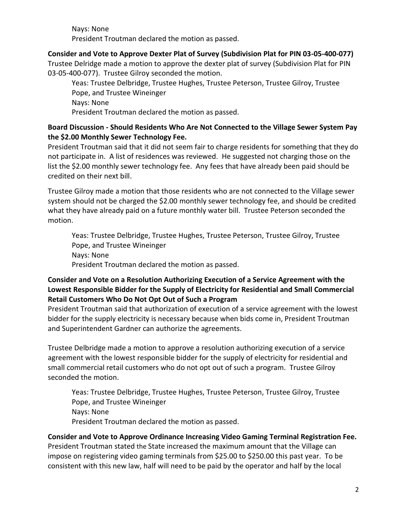Nays: None President Troutman declared the motion as passed.

**Consider and Vote to Approve Dexter Plat of Survey (Subdivision Plat for PIN 03-05-400-077)** Trustee Delridge made a motion to approve the dexter plat of survey (Subdivision Plat for PIN 03-05-400-077). Trustee Gilroy seconded the motion.

Yeas: Trustee Delbridge, Trustee Hughes, Trustee Peterson, Trustee Gilroy, Trustee Pope, and Trustee Wineinger Nays: None President Troutman declared the motion as passed.

## **Board Discussion - Should Residents Who Are Not Connected to the Village Sewer System Pay the \$2.00 Monthly Sewer Technology Fee.**

President Troutman said that it did not seem fair to charge residents for something that they do not participate in. A list of residences was reviewed. He suggested not charging those on the list the \$2.00 monthly sewer technology fee. Any fees that have already been paid should be credited on their next bill.

Trustee Gilroy made a motion that those residents who are not connected to the Village sewer system should not be charged the \$2.00 monthly sewer technology fee, and should be credited what they have already paid on a future monthly water bill. Trustee Peterson seconded the motion.

Yeas: Trustee Delbridge, Trustee Hughes, Trustee Peterson, Trustee Gilroy, Trustee Pope, and Trustee Wineinger Nays: None President Troutman declared the motion as passed.

## **Consider and Vote on a Resolution Authorizing Execution of a Service Agreement with the Lowest Responsible Bidder for the Supply of Electricity for Residential and Small Commercial Retail Customers Who Do Not Opt Out of Such a Program**

President Troutman said that authorization of execution of a service agreement with the lowest bidder for the supply electricity is necessary because when bids come in, President Troutman and Superintendent Gardner can authorize the agreements.

Trustee Delbridge made a motion to approve a resolution authorizing execution of a service agreement with the lowest responsible bidder for the supply of electricity for residential and small commercial retail customers who do not opt out of such a program. Trustee Gilroy seconded the motion.

Yeas: Trustee Delbridge, Trustee Hughes, Trustee Peterson, Trustee Gilroy, Trustee Pope, and Trustee Wineinger Nays: None President Troutman declared the motion as passed.

# **Consider and Vote to Approve Ordinance Increasing Video Gaming Terminal Registration Fee.**

President Troutman stated the State increased the maximum amount that the Village can impose on registering video gaming terminals from \$25.00 to \$250.00 this past year. To be consistent with this new law, half will need to be paid by the operator and half by the local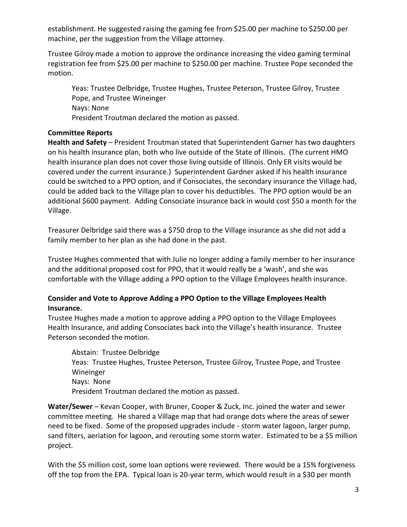establishment. He suggested raising the gaming fee from \$25.00 per machine to \$250.00 per machine, per the suggestion from the Village attorney.

Trustee Gilroy made a motion to approve the ordinance increasing the video gaming terminal registration fee from \$25.00 per machine to \$250.00 per machine. Trustee Pope seconded the motion.

Yeas: Trustee Delbridge, Trustee Hughes, Trustee Peterson, Trustee Gilroy, Trustee Pope, and Trustee Wineinger Nays: None President Troutman declared the motion as passed.

### **Committee Reports**

**Health and Safety** – President Troutman stated that Superintendent Garner has two daughters on his health insurance plan, both who live outside of the State of Illinois. (The current HMO health insurance plan does not cover those living outside of Illinois. Only ER visits would be covered under the current insurance.) Superintendent Gardner asked if his health insurance could be switched to a PPO option, and if Consociates, the secondary insurance the Village had, could be added back to the Village plan to cover his deductibles. The PPO option would be an additional \$600 payment. Adding Consociate insurance back in would cost \$50 a month for the Village.

Treasurer Delbridge said there was a \$750 drop to the Village insurance as she did not add a family member to her plan as she had done in the past.

Trustee Hughes commented that with Julie no longer adding a family member to her insurance and the additional proposed cost for PPO, that it would really be a 'wash', and she was comfortable with the Village adding a PPO option to the Village Employees health insurance.

## **Consider and Vote to Approve Adding a PPO Option to the Village Employees Health Insurance.**

Trustee Hughes made a motion to approve adding a PPO option to the Village Employees Health Insurance, and adding Consociates back into the Village's health insurance. Trustee Peterson seconded the motion.

Abstain: Trustee Delbridge Yeas: Trustee Hughes, Trustee Peterson, Trustee Gilroy, Trustee Pope, and Trustee Wineinger Nays: None President Troutman declared the motion as passed.

**Water/Sewer** – Kevan Cooper, with Bruner, Cooper & Zuck, Inc. joined the water and sewer committee meeting. He shared a Village map that had orange dots where the areas of sewer need to be fixed. Some of the proposed upgrades include - storm water lagoon, larger pump, sand filters, aeriation for lagoon, and rerouting some storm water. Estimated to be a \$5 million project.

With the \$5 million cost, some loan options were reviewed. There would be a 15% forgiveness off the top from the EPA. Typical loan is 20-year term, which would result in a \$30 per month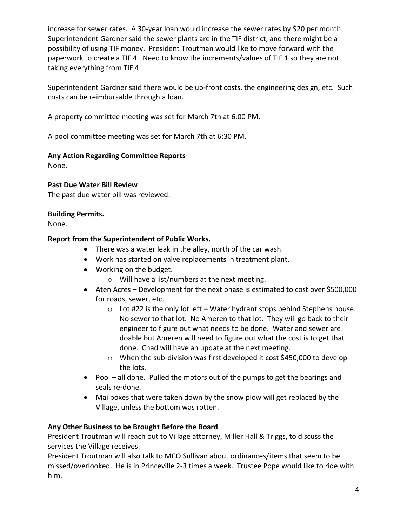increase for sewer rates. A 30-year loan would increase the sewer rates by \$20 per month. Superintendent Gardner said the sewer plants are in the TIF district, and there might be a possibility of using TIF money. President Troutman would like to move forward with the paperwork to create a TIF 4. Need to know the increments/values of TIF 1 so they are not taking everything from TIF 4.

Superintendent Gardner said there would be up-front costs, the engineering design, etc. Such costs can be reimbursable through a loan.

A property committee meeting was set for March 7th at 6:00 PM.

A pool committee meeting was set for March 7th at 6:30 PM.

## **Any Action Regarding Committee Reports**

None.

## **Past Due Water Bill Review**

The past due water bill was reviewed.

## **Building Permits.**

None.

## **Report from the Superintendent of Public Works.**

- There was a water leak in the alley, north of the car wash.
- Work has started on valve replacements in treatment plant.
- Working on the budget.
	- o Will have a list/numbers at the next meeting.
- Aten Acres Development for the next phase is estimated to cost over \$500,000 for roads, sewer, etc.
	- $\circ$  Lot #22 is the only lot left Water hydrant stops behind Stephens house. No sewer to that lot. No Ameren to that lot. They will go back to their engineer to figure out what needs to be done. Water and sewer are doable but Ameren will need to figure out what the cost is to get that done. Chad will have an update at the next meeting.
	- o When the sub-division was first developed it cost \$450,000 to develop the lots.
- Pool all done. Pulled the motors out of the pumps to get the bearings and seals re-done.
- Mailboxes that were taken down by the snow plow will get replaced by the Village, unless the bottom was rotten.

## **Any Other Business to be Brought Before the Board**

President Troutman will reach out to Village attorney, Miller Hall & Triggs, to discuss the services the Village receives.

President Troutman will also talk to MCO Sullivan about ordinances/items that seem to be missed/overlooked. He is in Princeville 2-3 times a week. Trustee Pope would like to ride with him.